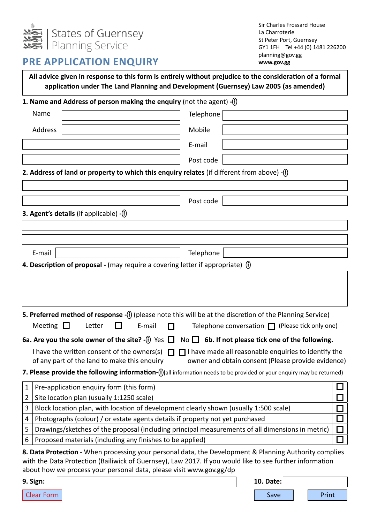

Sir Charles Frossard House La Charroterie St Peter Port, Guernsey GY1 1FH Tel +44 (0) 1481 226200 planning@gov.gg

## **PRE APPLICATION ENQUIRY WWW.gov.gg**

**All advice given in response to this form is entirely without prejudice to the consideration of a formal application under The Land Planning and Development (Guernsey) Law 2005 (as amended)**

## **1. Name and Address of person making the enquiry** (not the agent) - (i)

| Name                                                                                        | Telephone                                                                                                                                                                                                          |
|---------------------------------------------------------------------------------------------|--------------------------------------------------------------------------------------------------------------------------------------------------------------------------------------------------------------------|
| Address                                                                                     | Mobile                                                                                                                                                                                                             |
|                                                                                             | E-mail                                                                                                                                                                                                             |
|                                                                                             | Post code                                                                                                                                                                                                          |
| 2. Address of land or property to which this enquiry relates (if different from above) -(i) |                                                                                                                                                                                                                    |
|                                                                                             |                                                                                                                                                                                                                    |
|                                                                                             |                                                                                                                                                                                                                    |
|                                                                                             | Post code                                                                                                                                                                                                          |
| <b>3. Agent's details</b> (if applicable) -(i)                                              |                                                                                                                                                                                                                    |
|                                                                                             |                                                                                                                                                                                                                    |
|                                                                                             |                                                                                                                                                                                                                    |
| E-mail                                                                                      | Telephone                                                                                                                                                                                                          |
| 4. Description of proposal - (may require a covering letter if appropriate) (i)             |                                                                                                                                                                                                                    |
|                                                                                             |                                                                                                                                                                                                                    |
| Meeting $\Box$<br>Letter<br>E-mail                                                          | 5. Preferred method of response -(i) (please note this will be at the discretion of the Planning Service)<br>Telephone conversation $\Box$ (Please tick only one)                                                  |
|                                                                                             | 6a. Are you the sole owner of the site? -(i) Yes $\Box$ No $\Box$ 6b. If not please tick one of the following.                                                                                                     |
|                                                                                             | I have the written consent of the owners(s) $\Box$ $\Box$ I have made all reasonable enquiries to identify the                                                                                                     |
| of any part of the land to make this enquiry                                                | owner and obtain consent (Please provide evidence)                                                                                                                                                                 |
|                                                                                             | 7. Please provide the following information-(i)(all information needs to be provided or your enquiry may be returned)                                                                                              |
| Pre-application enquiry form (this form)<br>$\mathbf{1}$                                    |                                                                                                                                                                                                                    |
| $\overline{2}$<br>Site location plan (usually 1:1250 scale)                                 | $\overline{\phantom{a}}$                                                                                                                                                                                           |
| 3                                                                                           | $\Box$<br>Block location plan, with location of development clearly shown (usually 1:500 scale)                                                                                                                    |
| Photographs (colour) / or estate agents details if property not yet purchased<br>4          | $\Box$                                                                                                                                                                                                             |
| 5                                                                                           | $\Box$<br>Drawings/sketches of the proposal (including principal measurements of all dimensions in metric)                                                                                                         |
| Proposed materials (including any finishes to be applied)<br>6                              | □                                                                                                                                                                                                                  |
|                                                                                             | 8. Data Protection - When processing your personal data, the Development & Planning Authority complies<br>with the Data Protection (Bailiwick of Guernsey), Law 2017. If you would like to see further information |

about how we process your personal data, please visit www.gov.gg/dp

| 9. Sign:   | 10. Date: |       |
|------------|-----------|-------|
| Clear Form | Save      | Print |